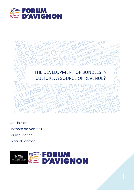



Gaëlle Bidan Hortense de Méritens Laurine Mortha Thibaud Sonntag

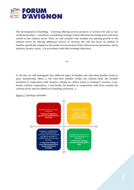

The development of bundling – involving offering several products or services for sale as one combined product – constitutes a marketing strategy of diversification becoming more and more settled in the cultural sector. Thus, we will consider why bundles are pushing growth in the cultural sector by offering additional sources of revenue. We will also focus on models of bundles specifically adapted to the needs of every branch of the cultural sector (museums, movie industry, theatre, music…) in accordance with their strategic objectives.

To do this, we will distinguish four different types of bundles: the intra-firm bundles (such as pass, membership offers…), the inter-firm bundles within the cultural field, the bundles launched in cooperation with business relying on culture (such as transport, tourism, crossborder cultural cooperation…) and finally the bundles in cooperation with firms outside the cultural sector and not linked to it (banking, insurance…).

\*\*\*

#### *Figure 1: Typology of bundles*

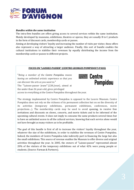

#### *Bundles within the same institution*

The intra-firm bundles are offers giving access to several services within the same institution. Mainly developed by museums, exhibitions, theatres or operas, they are usually B to C products in the form of discount cards, membership cards or passes.

Aiming at developing visitors' loyalty and increasing the number of visits per visitor, these offers also represent a way of attracting a larger audience. Finally, this sort of bundle enables the cultural institutions to stabilise their revenues by equally distributing the income from the membership cards or passes to different projects.

## **FOCUS ON "LAISSEZ-PASSER" (CENTRE GEORGES POMPIDOU'S PASS)**

 $\equiv$  Centre

Pompidou

"*Being a member of the Centre Pompidou means having an unlimited artistic experience so that you can discover the arts as you want to.*" The "Laissez-passer Jeune" (22€/year), aimed at the under than 26 years old, gives privileged

access to everything at the Centre Pompidou throughout the year.

The strategy implemented by Centre Pompidou is opposed to the Louvre Museum. Centre Pompidou does not rely on the richness of its permanent collection but on on the diversity of its activities (temporary exhibitions, permanent exhibitions, conferences, movie projections…). The membership cards may be used to avoid queuing, to receive free invitations and discounts on shows, concerts, and movie tickets and to be informed of the upcoming cultural events. It does not imply to consume the same products several times but to have an unlimited access to all the cultural services, knowing that each service alone would not have brought as many visitors as to be profitable.

The goal of this bundle is first of all to increase the visitors' loyalty throughout the year, whatever the size of the exhibitions, in order to stabilise the revenues of Centre Pompidou. Indeed, the members of Centre Pompidou take indirectly part in financing the large but also the small exhibitions. This source of revenue enables the Museum to offer diverse and original activities throughout the year. In 2005, the owners of "Laissez-passer" represented almost 20% of the visitors of the temporary exhibitions out of what 42% were young people or students. (Source: Farman & Partners).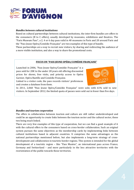

## *Bundles between cultural institutions*

Based on cultural partnerships between cultural institutions, the inter-firm bundles are offers to the consumers (B to C offers), usually developed by museums, exhibitions and theatres. The "Paris Museum Pass", a 2, 4 or 6 day pass valid in 40 museums in Paris and 20 around Paris and the "Pass Jeune Opéra/Comédie Française" are two examples of this type of bundle.

These partnerships are a way to recruit new visitors, by sharing and redirecting the audience of a more visible institution, and also a way to share the promotional costs.

#### **FOCUS ON "PASS JEUNE OPÉRA/COMÉDIE FRANÇAISE"**

Launched in 2006, "Pass Jeune Opéra/Comédie Française" is a pass sold for 20€ to the under 28 years old offering discounted prices for shows, free visits, and priority access to Opéra Garnier, Opéra Bastille and Comédie Française.

Linked to a visitor code, the pass records visitors' preferences and creates a database from them.



In 2011, 2,068 "Pass Jeune Opéra/Comédie Française" were sold, with 61% sold to new visitors. In September 2012, the limited quota of passes were sold out in fewer than five days.

#### *Bundles and tourism cooperation*

The offers in collaboration between tourism and culture are still rather underdeveloped and could be an opportunity to create links between the tourism sector and the cultural sector, these two being much linked.

There are very few examples of this type of cooperation, but we can find a good example of it with the cultural offers to the consumers based on cross-border collaboration. Such an original system pursues the same objectives as the membership cards by implementing links between cultural institutions based in adjacent countries. It comprises the same advantages as the national partnerships mentioned before, but also implements a long-term strategy of crossdevelopment and collaboration in touristic border regions. This system is intended for the global development of a touristic region – like "Pass Musées", an international pass across France, Germany and Switzerland – and more particularly in the less attractive territories with the reorientation of the public towards these territories.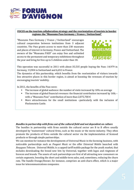

#### **FOCUS on the tourism collaboration strategy and the reorientation of tourists in border regions: the "Museums Pass Germany / France / Switzerland"**

"Museums Pass Germany / France / Switzerland" encourages cultural cooperation between institutions from 3 adjacent countries. The Pass grants access to more than 230 museums and places of interest in Germany, France and Switzerland. The owners of the "Museums PASS" can enjoy free and unlimited access to the permanent and temporary exhibitions throughout the year and bring for free up to 5 children under than 18.



This operation was successful in 2011 with about 35,535 people buying the Pass: 14,979 in Germany, 13,904 in Switzerland and 6,652 in France.

The dynamics of this partnership, which benefits from the reorientation of visitors towards less attractive places in this border region, is aimed at boosting the revenues of tourism by encouraging tourists' mobility.

In 2011, the benefits of the Pass were:

- The increase of global audience: the number of visits increased by 10% on average
- The increase of global financial revenues: the financial contribution increased by 16% with a "Museums Pass" contribution of more than 2,075,700  $\in$
- More attractiveness for the small institutions –particularly with the inclusion of Fleckenstein Castle.

## *Bundles in partnership with firms out of the cultural field and not dependent on culture*

The bundles in partnership with firms outside the cultural sector are B to B offers usually developed by "mainstream" cultural firms, such as the music or the movie industry. They often promote the products of firms outside the cultural sector via the implementation of licensed products or through simple partnerships.

We can mention for instance the developments of Universal Music in the licensing business, with noticeable partnerships such as *Peugeot Music* or the offer *Universal Mobile* launched with *Bouygues Telecom*. *Universal Mobile*, is a capped tariff mobile package for the youth market, that includes downloading the brand new hits by Universal, together with logos and ringtones of licences and brands. The assets of such partnerships are first of all attracting new consumers on certain segments, boosting the short and middle-term sales, and, sometimes, reducing the churn rate. The bundle Orange/Deezer, for instance, comprises an anti-churn effect, which is a major issue for telecommunications companies.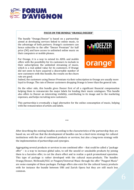

#### **FOCUS ON THE BUNDLE "ORANGE/DEEZER"**

The bundle "Orange/Deezer" is based on a partnership aimed at developing services linked to online music, to the advantage of both partners. Orange's customers can hence subscribe to the offer "Deezer Premium" for half price (5 $\epsilon$ ) and have access to unlimited online music on their computers or mobile phones.

For Orange, it is a way to extend its ADSL and mobile offers with the possibility for its customers to include in their subscriptions the unlimited streaming of music, which is a real added value for its customers. If Orange did not seem to have acquired a discernable number of new customers with this bundle, the results on the churn rate are good.



Indeed, the customers using Deezer Premium via their subscription to Orange are usually more loyal to Orange. The rate of Deezer customers dropping Orange is lower than the general rate.

On the other side, this bundle gives Deezer first of all a significant financial compensation helping them to remunerate the major labels for lending their music catalogues. This bundle also offers to Deezer an interesting visibility, contributing to its image and to the marketing expenses, and helps recruiting new customers.

This partnership is eventually a legal alternative for the online consumption of music, helping with the remuneration of artists and labels.

After describing the existing bundles according to the characteristics of the partnership they are based on, we will see that the development of bundles can be a short-term strategy for cultural institutions with the sale of combined products or services, but also a long-term strategy with the implementation of partnerships and synergies.

\*\*\*

Aggregating several products or services in one combined offer – that could be called a "package offer" – is a way to increase global sales, to sell the unsold or unsaleable products by joining them to a lucrative offer, to cut the churn effect and to realize a quick promotional operation. This type of package is rather developed with the cultural mass-products. The bundles Orange/Deezer, McDonald/UGC or Peugeot/Universal Music through the offer "Peugeot Music" are some examples of these packages. Package offers also exist for the cultural luxury products with for instance the bundle between UBS and Zurich Opera but they are still much less common.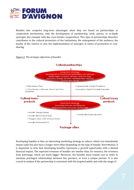

Bundles also comprise long-term advantages when they are based on partnerships or cooperation mechanisms, with the development of membership cards, passes, or in-depth synergies (for example with the cross-border cooperation). This type of partnerships therefore contributes to the cultural promotion of the institutions, the enlargement of the audience, the loyalty of the visitors or also the implementation of synergies in terms of promotion or costsharing.

#### *Figure 2: The strategic objectives of bundles*



Developing bundles is thus an interesting marketing strategy in culture, which can immediately impact sales but also have a longer-term effect depending on the type of bundle. Nevertheless, it is important to note that developing bundles represents a growth opportunity with a limited financial impact. The expected revenues of bundles are smaller than, for instance, the revenues from patronage, which are much bigger. Moreover, the bundles must remain rare in order to maintain privileged relationships between few partners, or even a unique partner. It is also crucial to analyse if the partnership is consistent with the targeted public and with the image of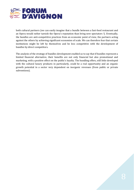

both cultural partners (we can easily imagine that a bundle between a fast-food restaurant and an Opera would rather tarnish the Opera's reputation than bring new spectators !). Eventually, the bundles are anti-competitive practices from an economic point of view, the partners acting against the others by achieving significant economies of scale. We can therefore fear that certain institutions might be left by themselves and be less competitive with the development of bundles by direct competitors.

The analysis of the strategy of bundles development enabled us to say that if bundles represent a limited financial alternative, their benefits are not only financial but also promotional and marketing, with a positive effect on the public's loyalty. The bundling offers, still little developed with the cultural luxury products in particularly, could be a real opportunity and an organic growth potential in a sector very dependent on inorganic revenues (from public or private subventions).